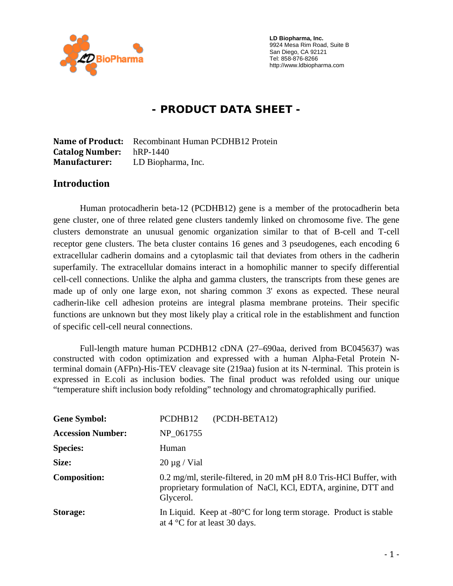

 **LD Biopharma, Inc.**  9924 Mesa Rim Road, Suite B San Diego, CA 92121 Tel: 858-876-8266 http://www.ldbiopharma.com

# **- PRODUCT DATA SHEET -**

**Name of Product:** Recombinant Human PCDHB12 Protein **Catalog Number:** hRP-1440 **Manufacturer:** LD Biopharma, Inc.

#### **Introduction**

Human protocadherin beta-12 (PCDHB12) gene is a member of the protocadherin beta gene cluster, one of three related gene clusters tandemly linked on chromosome five. The gene clusters demonstrate an unusual genomic organization similar to that of B-cell and T-cell receptor gene clusters. The beta cluster contains 16 genes and 3 pseudogenes, each encoding 6 extracellular cadherin domains and a cytoplasmic tail that deviates from others in the cadherin superfamily. The extracellular domains interact in a homophilic manner to specify differential cell-cell connections. Unlike the alpha and gamma clusters, the transcripts from these genes are made up of only one large exon, not sharing common 3' exons as expected. These neural cadherin-like cell adhesion proteins are integral plasma membrane proteins. Their specific functions are unknown but they most likely play a critical role in the establishment and function of specific cell-cell neural connections.

Full-length mature human PCDHB12 cDNA (27–690aa, derived from BC045637) was constructed with codon optimization and expressed with a human Alpha-Fetal Protein Nterminal domain (AFPn)-His-TEV cleavage site (219aa) fusion at its N-terminal. This protein is expressed in E.coli as inclusion bodies. The final product was refolded using our unique "temperature shift inclusion body refolding" technology and chromatographically purified.

| <b>Gene Symbol:</b>      | (PCDH-BETA12)<br>PCDHB12                                                                                                                         |
|--------------------------|--------------------------------------------------------------------------------------------------------------------------------------------------|
| <b>Accession Number:</b> | NP 061755                                                                                                                                        |
| <b>Species:</b>          | Human                                                                                                                                            |
| Size:                    | $20 \mu g$ / Vial                                                                                                                                |
| <b>Composition:</b>      | 0.2 mg/ml, sterile-filtered, in 20 mM pH 8.0 Tris-HCl Buffer, with<br>proprietary formulation of NaCl, KCl, EDTA, arginine, DTT and<br>Glycerol. |
| <b>Storage:</b>          | In Liquid. Keep at $-80^{\circ}$ C for long term storage. Product is stable<br>at $4^{\circ}$ C for at least 30 days.                            |